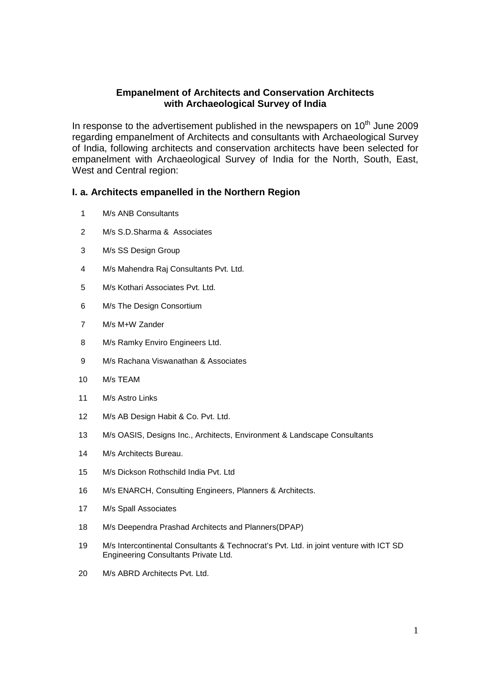# **Empanelment of Architects and Conservation Architects with Archaeological Survey of India**

In response to the advertisement published in the newspapers on  $10<sup>th</sup>$  June 2009 regarding empanelment of Architects and consultants with Archaeological Survey of India, following architects and conservation architects have been selected for empanelment with Archaeological Survey of India for the North, South, East, West and Central region:

## **I. a. Architects empanelled in the Northern Region**

- M/s ANB Consultants
- M/s S.D.Sharma & Associates
- M/s SS Design Group
- M/s Mahendra Raj Consultants Pvt. Ltd.
- M/s Kothari Associates Pvt. Ltd.
- M/s The Design Consortium
- M/s M+W Zander
- 8 M/s Ramky Enviro Engineers Ltd.
- M/s Rachana Viswanathan & Associates
- M/s TEAM
- M/s Astro Links
- M/s AB Design Habit & Co. Pvt. Ltd.
- M/s OASIS, Designs Inc., Architects, Environment & Landscape Consultants
- M/s Architects Bureau.
- M/s Dickson Rothschild India Pvt. Ltd
- M/s ENARCH, Consulting Engineers, Planners & Architects.
- M/s Spall Associates
- M/s Deependra Prashad Architects and Planners(DPAP)
- M/s Intercontinental Consultants & Technocrat's Pvt. Ltd. in joint venture with ICT SD Engineering Consultants Private Ltd.
- M/s ABRD Architects Pvt. Ltd.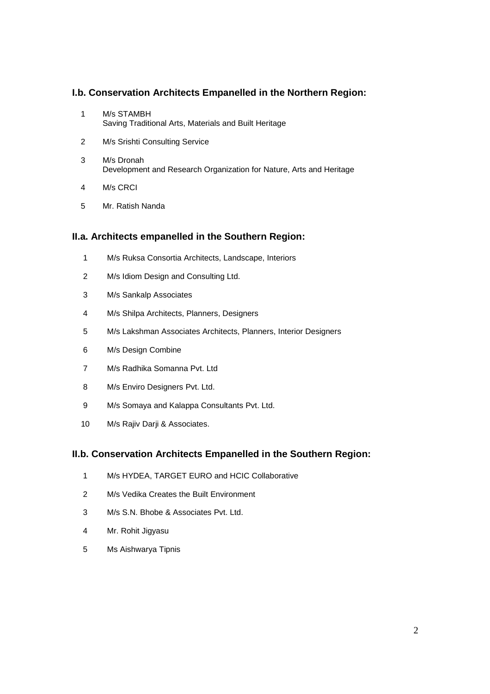# **I.b. Conservation Architects Empanelled in the Northern Region:**

- M/s STAMBH Saving Traditional Arts, Materials and Built Heritage
- M/s Srishti Consulting Service
- M/s Dronah Development and Research Organization for Nature, Arts and Heritage
- M/s CRCI
- Mr. Ratish Nanda

### **II.a. Architects empanelled in the Southern Region:**

- M/s Ruksa Consortia Architects, Landscape, Interiors
- M/s Idiom Design and Consulting Ltd.
- M/s Sankalp Associates
- M/s Shilpa Architects, Planners, Designers
- M/s Lakshman Associates Architects, Planners, Interior Designers
- M/s Design Combine
- M/s Radhika Somanna Pvt. Ltd
- 8 M/s Enviro Designers Pvt. Ltd.
- M/s Somaya and Kalappa Consultants Pvt. Ltd.
- M/s Rajiv Darji & Associates.

### **II.b. Conservation Architects Empanelled in the Southern Region:**

- M/s HYDEA, TARGET EURO and HCIC Collaborative
- M/s Vedika Creates the Built Environment
- M/s S.N. Bhobe & Associates Pvt. Ltd.
- Mr. Rohit Jigyasu
- Ms Aishwarya Tipnis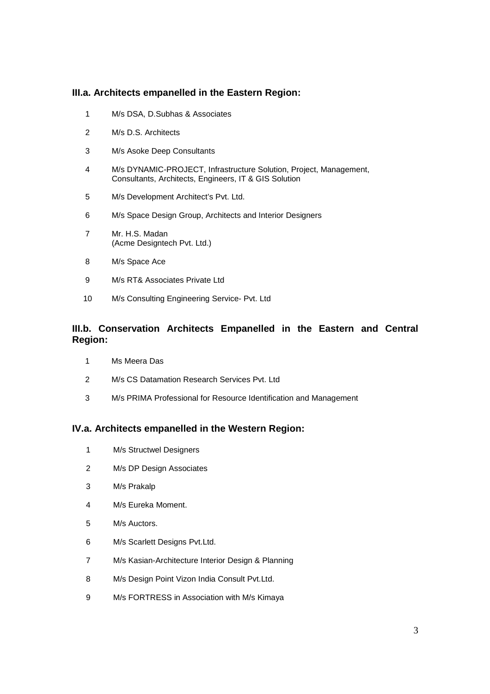## **III.a. Architects empanelled in the Eastern Region:**

- M/s DSA, D.Subhas & Associates
- M/s D.S. Architects
- M/s Asoke Deep Consultants
- M/s DYNAMIC-PROJECT, Infrastructure Solution, Project, Management, Consultants, Architects, Engineers, IT & GIS Solution
- M/s Development Architect's Pvt. Ltd.
- M/s Space Design Group, Architects and Interior Designers
- Mr. H.S. Madan (Acme Designtech Pvt. Ltd.)
- M/s Space Ace
- M/s RT& Associates Private Ltd
- M/s Consulting Engineering Service- Pvt. Ltd

# **III.b. Conservation Architects Empanelled in the Eastern and Central Region:**

- Ms Meera Das
- M/s CS Datamation Research Services Pvt. Ltd
- M/s PRIMA Professional for Resource Identification and Management

### **IV.a. Architects empanelled in the Western Region:**

- M/s Structwel Designers
- M/s DP Design Associates
- M/s Prakalp
- M/s Eureka Moment.
- M/s Auctors.
- M/s Scarlett Designs Pvt.Ltd.
- M/s Kasian-Architecture Interior Design & Planning
- M/s Design Point Vizon India Consult Pvt.Ltd.
- M/s FORTRESS in Association with M/s Kimaya